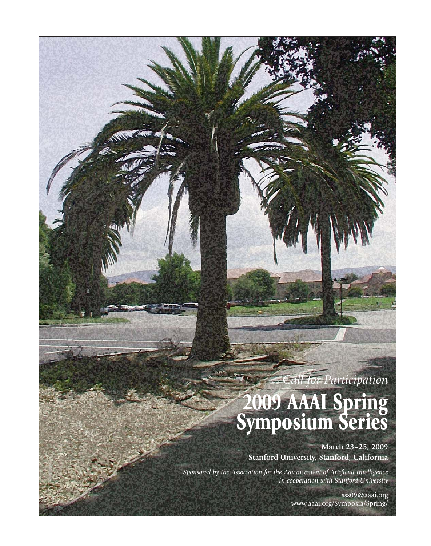# *Call for Participation*

# **2009 AAAI Spring Symposium Series**

**March 23–25, 2009 Stanford University, Stanford, California**

*Sponsored by the Association for the Advancement of Artificial Intelligence In cooperation with Stanford University*

> sss09@aaai.org www.aaai.org/Symposia/Spring/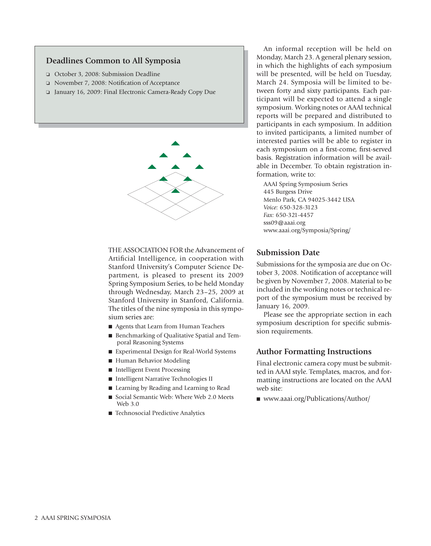#### **Deadlines Common to All Symposia**

- ❏ October 3, 2008: Submission Deadline
- ❏ November 7, 2008: Notification of Acceptance
- ❏ January 16, 2009: Final Electronic Camera-Ready Copy Due



THE ASSOCIATION FOR the Advancement of Artificial Intelligence, in cooperation with Stanford University's Computer Science Department, is pleased to present its 2009 Spring Symposium Series, to be held Monday through Wednesday, March 23–25, 2009 at Stanford University in Stanford, California. The titles of the nine symposia in this symposium series are:

- Agents that Learn from Human Teachers
- Benchmarking of Qualitative Spatial and Temporal Reasoning Systems
- Experimental Design for Real-World Systems
- Human Behavior Modeling
- Intelligent Event Processing
- Intelligent Narrative Technologies II
- Learning by Reading and Learning to Read
- Social Semantic Web: Where Web 2.0 Meets Web 3.0
- Technosocial Predictive Analytics

An informal reception will be held on Monday, March 23. A general plenary session, in which the highlights of each symposium will be presented, will be held on Tuesday, March 24. Symposia will be limited to between forty and sixty participants. Each participant will be expected to attend a single symposium. Working notes or AAAI technical reports will be prepared and distributed to participants in each symposium. In addition to invited participants, a limited number of interested parties will be able to register in each symposium on a first-come, first-served basis. Registration information will be available in December. To obtain registration information, write to:

AAAI Spring Symposium Series 445 Burgess Drive Menlo Park, CA 94025-3442 USA *Voice:* 650-328-3123 *Fax:* 650-321-4457 sss09@aaai.org www.aaai.org/Symposia/Spring/

#### **Submission Date**

Submissions for the symposia are due on October 3, 2008. Notification of acceptance will be given by November 7, 2008. Material to be included in the working notes or technical report of the symposium must be received by January 16, 2009.

Please see the appropriate section in each symposium description for specific submission requirements.

#### **Author Formatting Instructions**

Final electronic camera copy must be submitted in AAAI style. Templates, macros, and formatting instructions are located on the AAAI web site:

■ www.aaai.org/Publications/Author/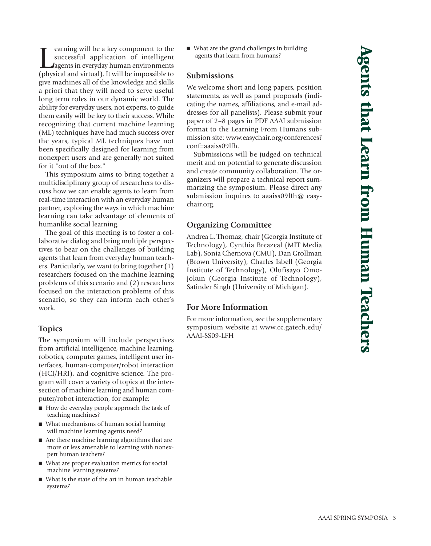Example of the successful application of intelligent successful application of intelligent application of intelligent (physical and virtual). It will be impossible to earning will be a key component to the successful application of intelligent agents in everyday human environments give machines all of the knowledge and skills a priori that they will need to serve useful long term roles in our dynamic world. The ability for everyday users, not experts, to guide them easily will be key to their success. While recognizing that current machine learning (ML) techniques have had much success over the years, typical ML techniques have not been specifically designed for learning from nonexpert users and are generally not suited for it "out of the box."

This symposium aims to bring together a multidisciplinary group of researchers to discuss how we can enable agents to learn from real-time interaction with an everyday human partner, exploring the ways in which machine learning can take advantage of elements of humanlike social learning.

The goal of this meeting is to foster a collaborative dialog and bring multiple perspectives to bear on the challenges of building agents that learn from everyday human teachers. Particularly, we want to bring together (1) researchers focused on the machine learning problems of this scenario and (2) researchers focused on the interaction problems of this scenario, so they can inform each other's work.

#### **Topics**

The symposium will include perspectives from artificial intelligence, machine learning, robotics, computer games, intelligent user interfaces, human-computer/robot interaction (HCI/HRI), and cognitive science. The program will cover a variety of topics at the intersection of machine learning and human computer/robot interaction, for example:

- How do everyday people approach the task of teaching machines?
- What mechanisms of human social learning will machine learning agents need?
- Are there machine learning algorithms that are more or less amenable to learning with nonexpert human teachers?
- What are proper evaluation metrics for social machine learning systems?
- What is the state of the art in human teachable systems?

■ What are the grand challenges in building agents that learn from humans?

#### **Submissions**

We welcome short and long papers, position statements, as well as panel proposals (indicating the names, affiliations, and e-mail addresses for all panelists). Please submit your paper of 2–8 pages in PDF AAAI submission format to the Learning From Humans submission site: www.easychair.org/conferences? conf=aaaiss09lfh.

Submissions will be judged on technical merit and on potential to generate discussion and create community collaboration. The organizers will prepare a technical report summarizing the symposium. Please direct any submission inquires to aaaiss09lfh@ easychair.org.

#### **Organizing Committee**

Andrea L. Thomaz, chair (Georgia Institute of Technology), Cynthia Breazeal (MIT Media Lab), Sonia Chernova (CMU), Dan Grollman (Brown University), Charles Isbell (Georgia Institute of Technology), Olufisayo Omojokun (Georgia Institute of Technology), Satinder Singh (University of Michigan).

# **For More Information**

For more information, see the supplementary symposium website at www.cc.gatech.edu/ AAAI-SS09-LFH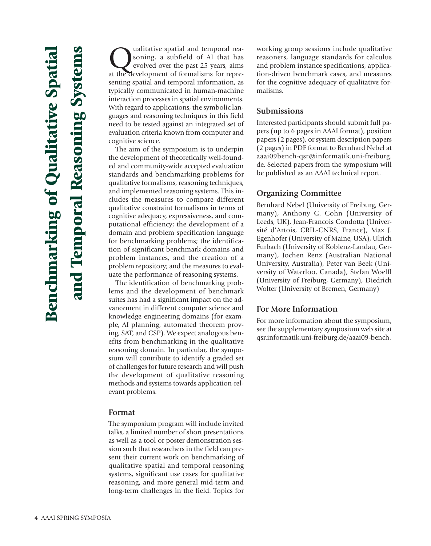Qualitative spatial and temporal rea-<br>soning, a subfield of AI that has<br>evolved over the past 25 years, aims<br>at the development of formalisms for represoning, a subfield of AI that has evolved over the past 25 years, aims senting spatial and temporal information, as typically communicated in human-machine interaction processes in spatial environments. With regard to applications, the symbolic languages and reasoning techniques in this field need to be tested against an integrated set of evaluation criteria known from computer and cognitive science.

The aim of the symposium is to underpin the development of theoretically well-founded and community-wide accepted evaluation standards and benchmarking problems for qualitative formalisms, reasoning techniques, and implemented reasoning systems. This includes the measures to compare different qualitative constraint formalisms in terms of cognitive adequacy, expressiveness, and computational efficiency; the development of a domain and problem specification language for benchmarking problems; the identification of significant benchmark domains and problem instances, and the creation of a problem repository; and the measures to evaluate the performance of reasoning systems.

The identification of benchmarking problems and the development of benchmark suites has had a significant impact on the advancement in different computer science and knowledge engineering domains (for example, AI planning, automated theorem proving, SAT, and CSP). We expect analogous benefits from benchmarking in the qualitative reasoning domain. In particular, the symposium will contribute to identify a graded set of challenges for future research and will push the development of qualitative reasoning methods and systems towards application-relevant problems.

#### **Format**

The symposium program will include invited talks, a limited number of short presentations as well as a tool or poster demonstration session such that researchers in the field can present their current work on benchmarking of qualitative spatial and temporal reasoning systems, significant use cases for qualitative reasoning, and more general mid-term and long-term challenges in the field. Topics for

working group sessions include qualitative reasoners, language standards for calculus and problem instance specifications, application-driven benchmark cases, and measures for the cognitive adequacy of qualitative formalisms.

#### **Submissions**

Interested participants should submit full papers (up to 6 pages in AAAI format), position papers (2 pages), or system description papers (2 pages) in PDF format to Bernhard Nebel at aaai09bench-qsr@informatik.uni-freiburg. de. Selected papers from the symposium will be published as an AAAI technical report.

#### **Organizing Committee**

Bernhard Nebel (University of Freiburg, Germany), Anthony G. Cohn (University of Leeds, UK), Jean-Francois Condotta (Université d'Artois, CRIL-CNRS, France), Max J. Egenhofer (University of Maine, USA), Ulrich Furbach (University of Koblenz-Landau, Germany), Jochen Renz (Australian National University, Australia), Peter van Beek (University of Waterloo, Canada), Stefan Woelfl (University of Freiburg, Germany), Diedrich Wolter (University of Bremen, Germany)

#### **For More Information**

For more information about the symposium, see the supplementary symposium web site at qsr.informatik.uni-freiburg.de/aaai09-bench.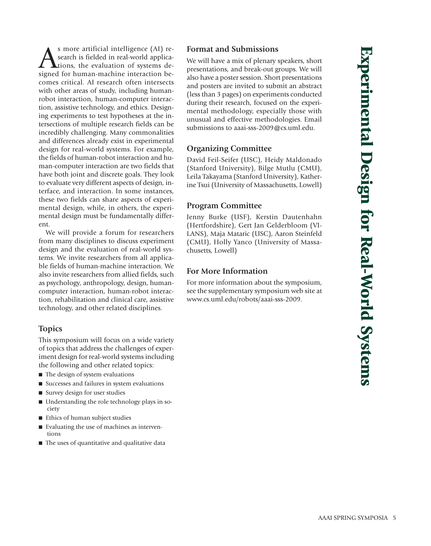S more artificial intelligence (AI) re-<br>search is fielded in real-world applica-<br>signed for human-machine interaction besearch is fielded in real-world applications, the evaluation of systems designed for human-machine interaction becomes critical. AI research often intersects with other areas of study, including humanrobot interaction, human-computer interaction, assistive technology, and ethics. Designing experiments to test hypotheses at the intersections of multiple research fields can be incredibly challenging. Many commonalities and differences already exist in experimental design for real-world systems. For example, the fields of human-robot interaction and human-computer interaction are two fields that have both joint and discrete goals. They look to evaluate very different aspects of design, interface, and interaction. In some instances, these two fields can share aspects of experimental design, while, in others, the experimental design must be fundamentally different.

We will provide a forum for researchers from many disciplines to discuss experiment design and the evaluation of real-world systems. We invite researchers from all applicable fields of human-machine interaction. We also invite researchers from allied fields, such as psychology, anthropology, design, humancomputer interaction, human-robot interaction, rehabilitation and clinical care, assistive technology, and other related disciplines.

# **Topics**

This symposium will focus on a wide variety of topics that address the challenges of experiment design for real-world systems including the following and other related topics:

- The design of system evaluations
- Successes and failures in system evaluations
- Survey design for user studies
- Understanding the role technology plays in society
- Ethics of human subject studies
- Evaluating the use of machines as interventions
- The uses of quantitative and qualitative data

# **Format and Submissions**

We will have a mix of plenary speakers, short presentations, and break-out groups. We will also have a poster session. Short presentations and posters are invited to submit an abstract (less than 3 pages) on experiments conducted during their research, focused on the experimental methodology, especially those with unusual and effective methodologies. Email submissions to aaai-sss-2009@cs.uml.edu.

# **Organizing Committee**

David Feil-Seifer (USC), Heidy Maldonado (Stanford University), Bilge Mutlu (CMU), Leila Takayama (Stanford University), Katherine Tsui (University of Massachusetts, Lowell)

# **Program Committee**

Jenny Burke (USF), Kerstin Dautenhahn (Hertfordshire), Gert Jan Gelderbloom (VI-LANS), Maja Mataric (USC), Aaron Steinfeld (CMU), Holly Yanco (University of Massachusetts, Lowell)

# **For More Information**

For more information about the symposium, see the supplementary symposium web site at www.cs.uml.edu/robots/aaai-sss-2009.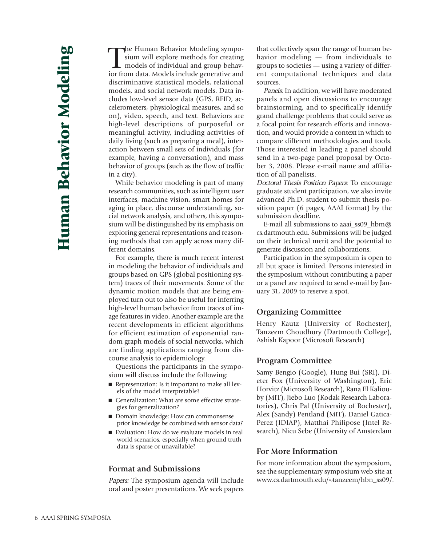The Human Behavior Modeling symposium will explore methods for creating<br>models of individual and group behav-<br>ior from data. Models include generative and he Human Behavior Modeling symposium will explore methods for creating models of individual and group behavdiscriminative statistical models, relational models, and social network models. Data includes low-level sensor data (GPS, RFID, accelerometers, physiological measures, and so on), video, speech, and text. Behaviors are high-level descriptions of purposeful or meaningful activity, including activities of daily living (such as preparing a meal), interaction between small sets of individuals (for example, having a conversation), and mass behavior of groups (such as the flow of traffic in a city).

While behavior modeling is part of many research communities, such as intelligent user interfaces, machine vision, smart homes for aging in place, discourse understanding, social network analysis, and others, this symposium will be distinguished by its emphasis on exploring general representations and reasoning methods that can apply across many different domains.

For example, there is much recent interest in modeling the behavior of individuals and groups based on GPS (global positioning system) traces of their movements. Some of the dynamic motion models that are being employed turn out to also be useful for inferring high-level human behavior from traces of image features in video. Another example are the recent developments in efficient algorithms for efficient estimation of exponential random graph models of social networks, which are finding applications ranging from discourse analysis to epidemiology.

Questions the participants in the symposium will discuss include the following:

- Representation: Is it important to make all levels of the model interpretable?
- Generalization: What are some effective strategies for generalization?
- Domain knowledge: How can commonsense prior knowledge be combined with sensor data?
- Evaluation: How do we evaluate models in real world scenarios, especially when ground truth data is sparse or unavailable?

#### **Format and Submissions**

Papers: The symposium agenda will include oral and poster presentations. We seek papers

that collectively span the range of human behavior modeling — from individuals to groups to societies — using a variety of different computational techniques and data sources.

Panels: In addition, we will have moderated panels and open discussions to encourage brainstorming, and to specifically identify grand challenge problems that could serve as a focal point for research efforts and innovation, and would provide a context in which to compare different methodologies and tools. Those interested in leading a panel should send in a two-page panel proposal by October 3, 2008. Please e-mail name and affiliation of all panelists.

Doctoral Thesis Position Papers: To encourage graduate student participation, we also invite advanced Ph.D. student to submit thesis position paper (6 pages, AAAI format) by the submission deadline.

E-mail all submissions to aaai\_ss09\_hbm@ cs.dartmouth.edu. Submissions will be judged on their technical merit and the potential to generate discussion and collaborations.

Participation in the symposium is open to all but space is limited. Persons interested in the symposium without contributing a paper or a panel are required to send e-mail by January 31, 2009 to reserve a spot.

#### **Organizing Committee**

Henry Kautz (University of Rochester), Tanzeem Choudhury (Dartmouth College), Ashish Kapoor (Microsoft Research)

#### **Program Committee**

Samy Bengio (Google), Hung Bui (SRI), Dieter Fox (University of Washington), Eric Horvitz (Microsoft Research), Rana El Kaliouby (MIT), Jiebo Luo (Kodak Research Laboratories), Chris Pal (University of Rochester), Alex (Sandy) Pentland (MIT), Daniel Gatica-Perez (IDIAP), Matthai Philipose (Intel Research), Nicu Sebe (University of Amsterdam

#### **For More Information**

For more information about the symposium, see the supplementary symposium web site at www.cs.dartmouth.edu/~tanzeem/hbn\_ss09/.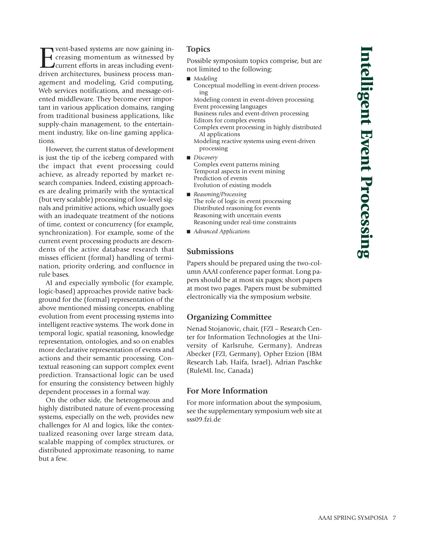Possible symposium topics comprise, but are not limited to the following: Conceptual modelling in event-driven process-Modeling context in event-driven processing Event processing languages Business rules and event-driven processing Editors for complex events Complex event processing in highly distributed AI applications Modeling reactive systems using event-driven Complex event patterns mining Temporal aspects in event mining Prediction of events Evolution of existing models

- *Reasoning/Processing* The role of logic in event processing Distributed reasoning for events Reasoning with uncertain events Reasoning under real-time constraints
- *Advanced Applications*

#### **Submissions**

**Topics**

■ *Modeling* 

ing

processing

■ *Discovery* 

Papers should be prepared using the two-column AAAI conference paper format. Long papers should be at most six pages; short papers at most two pages. Papers must be submitted electronically via the symposium website.

#### **Organizing Committee**

Nenad Stojanovic, chair, (FZI – Research Center for Information Technologies at the University of Karlsruhe, Germany), Andreas Abecker (FZI, Germany), Opher Etzion (IBM Research Lab, Haifa, Israel), Adrian Paschke (RuleML Inc, Canada)

#### **For More Information**

For more information about the symposium, see the supplementary symposium web site at sss09.fzi.de

For vent-based systems are now gaining in-<br>Foreasing momentum as witnessed by<br>Current efforts in areas including event-<br>driven architectures, business process mancreasing momentum as witnessed by current efforts in areas including eventdriven architectures, business process management and modeling, Grid computing, Web services notifications, and message-oriented middleware. They become ever important in various application domains, ranging from traditional business applications, like supply-chain management, to the entertainment industry, like on-line gaming applications.

However, the current status of development is just the tip of the iceberg compared with the impact that event processing could achieve, as already reported by market research companies. Indeed, existing approaches are dealing primarily with the syntactical (but very scalable) processing of low-level signals and primitive actions, which usually goes with an inadequate treatment of the notions of time, context or concurrency (for example, synchronization). For example, some of the current event processing products are descendents of the active database research that misses efficient (formal) handling of termination, priority ordering, and confluence in rule bases.

AI and especially symbolic (for example, logic-based) approaches provide native background for the (formal) representation of the above mentioned missing concepts, enabling evolution from event processing systems into intelligent reactive systems. The work done in temporal logic, spatial reasoning, knowledge representation, ontologies, and so on enables more declarative representation of events and actions and their semantic processing. Contextual reasoning can support complex event prediction. Transactional logic can be used for ensuring the consistency between highly dependent processes in a formal way.

On the other side, the heterogeneous and highly distributed nature of event-processing systems, especially on the web, provides new challenges for AI and logics, like the contextualized reasoning over large stream data, scalable mapping of complex structures, or distributed approximate reasoning, to name but a few.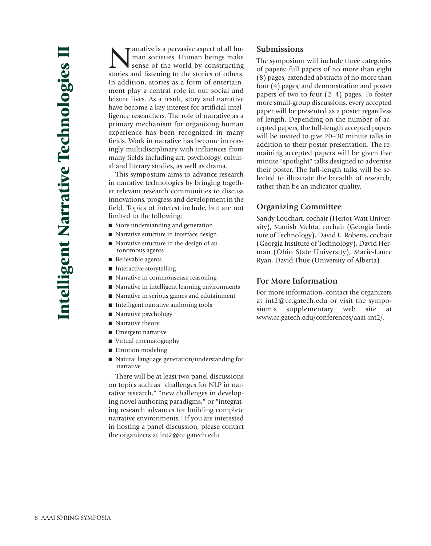$\blacksquare$  arrative is a pervasive aspect of all human societies. Human beings make sense of the world by constructing stories and listening to the stories of others. In addition, stories as a form of entertainment play a central role in our social and leisure lives. As a result, story and narrative have become a key interest for artificial intelligence researchers. The role of narrative as a primary mechanism for organizing human experience has been recognized in many fields. Work in narrative has become increasingly multidisciplinary with influences from many fields including art, psychology, cultural and literary studies, as well as drama.

This symposium aims to advance research in narrative technologies by bringing together relevant research communities to discuss innovations, progress and development in the field. Topics of interest include, but are not limited to the following:

- Story understanding and generation
- Narrative structure in interface design
- Narrative structure in the design of autonomous agents
- Believable agents
- Interactive storytelling
- Narrative in commonsense reasoning
- Narrative in intelligent learning environments
- Narrative in serious games and edutainment
- Intelligent narrative authoring tools
- Narrative psychology
- Narrative theory
- Emergent narrative
- Virtual cinematography
- Emotion modeling
- Natural language generation/understanding for narrative

There will be at least two panel discussions on topics such as "challenges for NLP in narrative research," "new challenges in developing novel authoring paradigms," or "integrating research advances for building complete narrative environments." If you are interested in hosting a panel discussion, please contact the organizers at int2@cc.gatech.edu.

#### **Submissions**

The symposium will include three categories of papers: full papers of no more than eight (8) pages; extended abstracts of no more than four (4) pages; and demonstration and poster papers of two to four (2–4) pages. To foster more small-group discussions, every accepted paper will be presented as a poster regardless of length. Depending on the number of accepted papers, the full-length accepted papers will be invited to give 20–30 minute talks in addition to their poster presentation. The remaining accepted papers will be given five minute "spotlight" talks designed to advertise their poster. The full-length talks will be selected to illustrate the breadth of research, rather than be an indicator quality.

#### **Organizing Committee**

Sandy Louchart, cochair (Heriot-Watt University), Manish Mehta, cochair (Georgia Institute of Technology), David L. Roberts, cochair (Georgia Institute of Technology), David Herman (Ohio State University), Marie-Laure Ryan, David Thue (University of Alberta)

#### **For More Information**

For more information, contact the organizers at int2@cc.gatech.edu or visit the symposium's supplementary web site at www.cc.gatech.edu/conferences/aaai-int2/.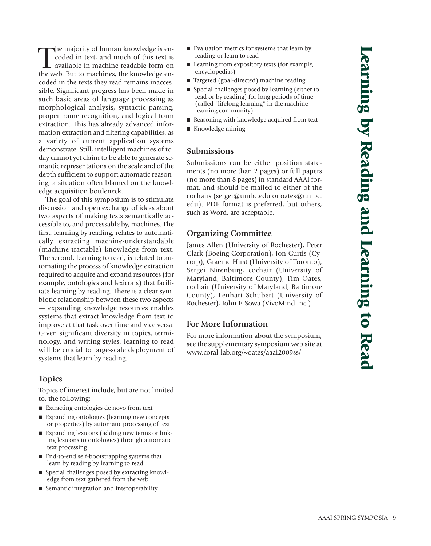The majority of human knowledge is encoded in text, and much of this text is available in machine readable form on the web. But to machines, the knowledge enhe majority of human knowledge is encoded in text, and much of this text is available in machine readable form on coded in the texts they read remains inaccessible. Significant progress has been made in such basic areas of language processing as morphological analysis, syntactic parsing, proper name recognition, and logical form extraction. This has already advanced information extraction and filtering capabilities, as a variety of current application systems demonstrate. Still, intelligent machines of today cannot yet claim to be able to generate semantic representations on the scale and of the depth sufficient to support automatic reasoning, a situation often blamed on the knowledge acquisition bottleneck.

The goal of this symposium is to stimulate discussion and open exchange of ideas about two aspects of making texts semantically accessible to, and processable by, machines. The first, learning by reading, relates to automatically extracting machine-understandable (machine-tractable) knowledge from text. The second, learning to read, is related to automating the process of knowledge extraction required to acquire and expand resources (for example, ontologies and lexicons) that facilitate learning by reading. There is a clear symbiotic relationship between these two aspects — expanding knowledge resources enables systems that extract knowledge from text to improve at that task over time and vice versa. Given significant diversity in topics, terminology, and writing styles, learning to read will be crucial to large-scale deployment of systems that learn by reading.

# **Topics**

Topics of interest include, but are not limited to, the following:

- Extracting ontologies de novo from text
- Expanding ontologies (learning new concepts or properties) by automatic processing of text
- Expanding lexicons (adding new terms or linking lexicons to ontologies) through automatic text processing
- End-to-end self-bootstrapping systems that learn by reading by learning to read
- Special challenges posed by extracting knowledge from text gathered from the web
- Semantic integration and interoperability
- Evaluation metrics for systems that learn by reading or learn to read
- Learning from expository texts (for example, encyclopedias)
- Targeted (goal-directed) machine reading
- Special challenges posed by learning (either to read or by reading) for long periods of time (called "lifelong learning" in the machine learning community)
- Reasoning with knowledge acquired from text
- Knowledge mining

#### **Submissions**

Submissions can be either position statements (no more than 2 pages) or full papers (no more than 8 pages) in standard AAAI format, and should be mailed to either of the cochairs (sergei@umbc.edu or oates@umbc. edu). PDF format is preferred, but others, such as Word, are acceptable.

# **Organizing Committee**

James Allen (University of Rochester), Peter Clark (Boeing Corporation), Jon Curtis (Cycorp), Graeme Hirst (University of Toronto), Sergei Nirenburg, cochair (University of Maryland, Baltimore County), Tim Oates, cochair (University of Maryland, Baltimore County), Lenhart Schubert (University of Rochester), John F. Sowa (VivoMind Inc.)

# **For More Information**

For more information about the symposium, see the supplementary symposium web site at www.coral-lab.org/~oates/aaai2009ss/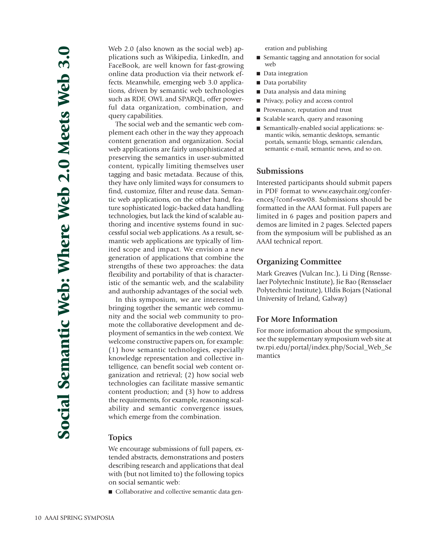Web 2.0 (also known as the social web) applications such as Wikipedia, LinkedIn, and FaceBook, are well known for fast-growing online data production via their network effects. Meanwhile, emerging web 3.0 applications, driven by semantic web technologies such as RDF, OWL and SPARQL, offer powerful data organization, combination, and query capabilities.

The social web and the semantic web complement each other in the way they approach content generation and organization. Social web applications are fairly unsophisticated at preserving the semantics in user-submitted content, typically limiting themselves user tagging and basic metadata. Because of this, they have only limited ways for consumers to find, customize, filter and reuse data. Semantic web applications, on the other hand, feature sophisticated logic-backed data handling technologies, but lack the kind of scalable authoring and incentive systems found in successful social web applications. As a result, semantic web applications are typically of limited scope and impact. We envision a new generation of applications that combine the strengths of these two approaches: the data flexibility and portability of that is characteristic of the semantic web, and the scalability and authorship advantages of the social web.

In this symposium, we are interested in bringing together the semantic web community and the social web community to promote the collaborative development and deployment of semantics in the web context. We welcome constructive papers on, for example: (1) how semantic technologies, especially knowledge representation and collective intelligence, can benefit social web content organization and retrieval; (2) how social web technologies can facilitate massive semantic content production; and (3) how to address the requirements, for example, reasoning scalability and semantic convergence issues, which emerge from the combination.

#### **Topics**

We encourage submissions of full papers, extended abstracts, demonstrations and posters describing research and applications that deal with (but not limited to) the following topics on social semantic web:

■ Collaborative and collective semantic data gen-

eration and publishing

- Semantic tagging and annotation for social web
- Data integration
- Data portability
- Data analysis and data mining
- Privacy, policy and access control
- Provenance, reputation and trust
- Scalable search, query and reasoning
- Semantically-enabled social applications: semantic wikis, semantic desktops, semantic portals, semantic blogs, semantic calendars, semantic e-mail, semantic news, and so on.

#### **Submissions**

Interested participants should submit papers in PDF format to www.easychair.org/conferences/?conf=ssw08. Submissions should be formatted in the AAAI format. Full papers are limited in 6 pages and position papers and demos are limited in 2 pages. Selected papers from the symposium will be published as an AAAI technical report.

#### **Organizing Committee**

Mark Greaves (Vulcan Inc.), Li Ding (Rensselaer Polytechnic Institute), Jie Bao (Rensselaer Polytechnic Institute), Uldis Bojars (National University of Ireland, Galway)

#### **For More Information**

For more information about the symposium, see the supplementary symposium web site at tw.rpi.edu/portal/index.php/Social\_Web\_Se mantics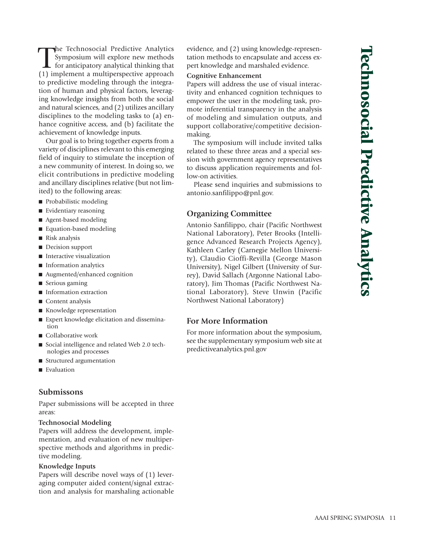The Technosocial Predictive Analytics<br>
Symposium will explore new methods<br>
for anticipatory analytical thinking that<br>
(1) implement a multiperspective approach he Technosocial Predictive Analytics Symposium will explore new methods  $\mathsf{\mathsf{L}}$  for anticipatory analytical thinking that to predictive modeling through the integration of human and physical factors, leveraging knowledge insights from both the social and natural sciences, and (2) utilizes ancillary disciplines to the modeling tasks to (a) enhance cognitive access, and (b) facilitate the achievement of knowledge inputs.

Our goal is to bring together experts from a variety of disciplines relevant to this emerging field of inquiry to stimulate the inception of a new community of interest. In doing so, we elicit contributions in predictive modeling and ancillary disciplines relative (but not limited) to the following areas:

- Probabilistic modeling
- Evidentiary reasoning
- Agent-based modeling
- Equation-based modeling
- Risk analysis
- Decision support
- Interactive visualization
- Information analytics
- Augmented/enhanced cognition
- Serious gaming
- Information extraction
- Content analysis
- Knowledge representation
- Expert knowledge elicitation and dissemination
- Collaborative work
- Social intelligence and related Web 2.0 technologies and processes
- Structured argumentation
- Evaluation

#### **Submissons**

Paper submissions will be accepted in three areas:

#### **Technosocial Modeling**

Papers will address the development, implementation, and evaluation of new multiperspective methods and algorithms in predictive modeling.

#### **Knowledge Inputs**

Papers will describe novel ways of (1) leveraging computer aided content/signal extraction and analysis for marshaling actionable evidence, and (2) using knowledge-representation methods to encapsulate and access expert knowledge and marshaled evidence.

#### **Cognitive Enhancement**

Papers will address the use of visual interactivity and enhanced cognition techniques to empower the user in the modeling task, promote inferential transparency in the analysis of modeling and simulation outputs, and support collaborative/competitive decisionmaking.

The symposium will include invited talks related to these three areas and a special session with government agency representatives to discuss application requirements and follow-on activities.

Please send inquiries and submissions to antonio.sanfilippo@pnl.gov.

# **Organizing Committee**

Antonio Sanfilippo, chair (Pacific Northwest National Laboratory), Peter Brooks (Intelligence Advanced Research Projects Agency), Kathleen Carley (Carnegie Mellon University), Claudio Cioffi-Revilla (George Mason University), Nigel Gilbert (University of Surrey), David Sallach (Argonne National Laboratory), Jim Thomas (Pacific Northwest National Laboratory), Steve Unwin (Pacific Northwest National Laboratory)

#### **For More Information**

For more information about the symposium, see the supplementary symposium web site at predictiveanalytics.pnl.gov